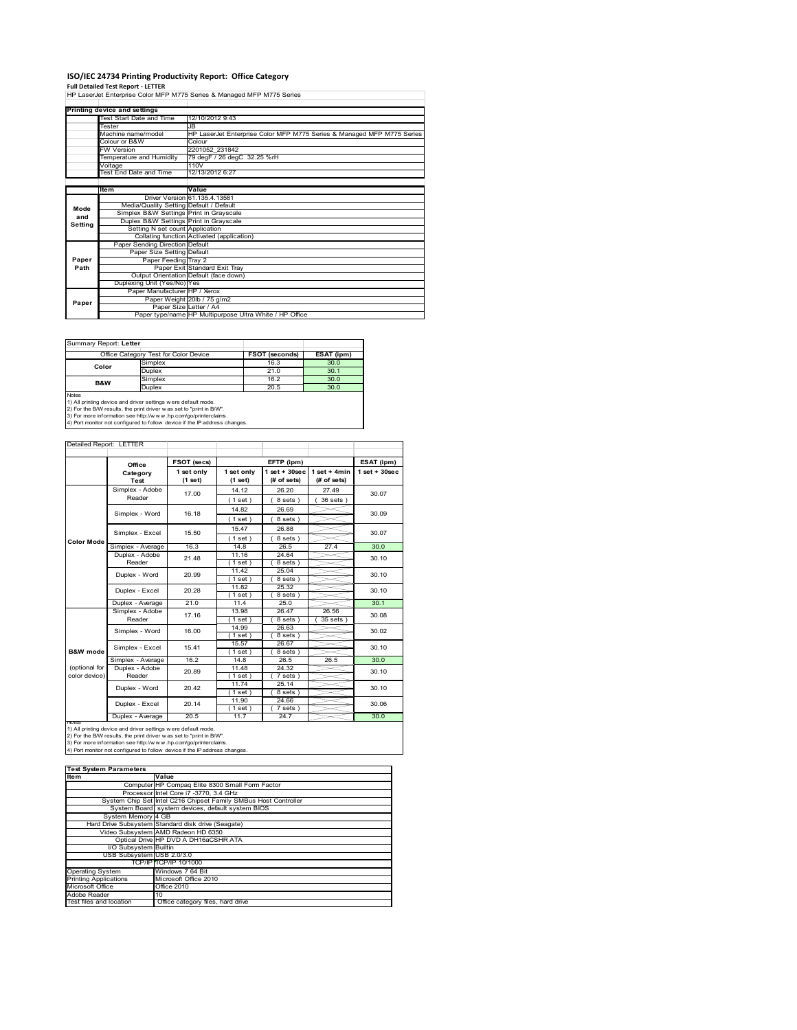# **ISO/IEC 24734 Printing Productivity Report: Office Category**

**Full Detailed Test Report ‐ LETTER** HP LaserJet Enterprise Color MFP M775 Series & Managed MFP M775 Series

|         | Printing device and settings            |                                                                        |  |  |
|---------|-----------------------------------------|------------------------------------------------------------------------|--|--|
|         | Test Start Date and Time                | 12/10/2012 9:43                                                        |  |  |
|         | Tester                                  | JB                                                                     |  |  |
|         | Machine name/model                      | HP LaserJet Enterprise Color MFP M775 Series & Managed MFP M775 Series |  |  |
|         | Colour or B&W                           | Colour                                                                 |  |  |
|         | <b>FW Version</b>                       | 2201052 231842                                                         |  |  |
|         | Temperature and Humidity                | 79 degF / 26 degC 32.25 %rH                                            |  |  |
|         | Voltage                                 | 110V                                                                   |  |  |
|         | Test End Date and Time                  | 12/13/2012 6:27                                                        |  |  |
|         |                                         |                                                                        |  |  |
|         | <b>Item</b>                             | Value                                                                  |  |  |
|         |                                         | Driver Version 61.135.4.13581                                          |  |  |
| Mode    | Media/Quality Setting Default / Default |                                                                        |  |  |
| and     | Simplex B&W Settings Print in Grayscale |                                                                        |  |  |
| Setting | Duplex B&W Settings Print in Grayscale  |                                                                        |  |  |
|         | Setting N set count Application         |                                                                        |  |  |
|         |                                         | Collating function Activated (application)                             |  |  |
|         | Paper Sending Direction Default         |                                                                        |  |  |
|         | Paper Size Setting Default              |                                                                        |  |  |
| Paper   | Paper Feeding Tray 2                    |                                                                        |  |  |
| Path    |                                         | Paper Exit Standard Exit Tray                                          |  |  |
|         |                                         | Output Orientation Default (face down)                                 |  |  |
|         | Duplexing Unit (Yes/No) Yes             |                                                                        |  |  |
|         | Paper Manufacturer HP / Xerox           |                                                                        |  |  |
| Paper   |                                         | Paper Weight 20lb / 75 g/m2                                            |  |  |
|         | Paper Size Letter / A4                  |                                                                        |  |  |
|         |                                         | Paper type/name HP Multipurpose Ultra White / HP Office                |  |  |

Summary Report: **Letter**

|                                                                               | Simplex | 16.3 |      |  |  |  |  |
|-------------------------------------------------------------------------------|---------|------|------|--|--|--|--|
|                                                                               |         |      | 30.0 |  |  |  |  |
| Color                                                                         | Duplex  | 21.0 | 30.1 |  |  |  |  |
| <b>B&amp;W</b>                                                                | Simplex | 16.2 | 30.0 |  |  |  |  |
|                                                                               | Duplex  | 20.5 | 30.0 |  |  |  |  |
| <b>Notes</b><br>1) All printing device and driver settings were default mode. |         |      |      |  |  |  |  |

1) All printing device and driver settings were default mode.<br>2) For the B/W results, the print driver was set to "print in B/W".<br>3) For more information see http://www.hp.com/go/printerclaims.<br>4) Port monitor not configur

### Detailed Report: LETTER

|                     | Office            | FSOT (secs)           |                       | EFTP (ipm)                        |                               | ESAT (ipm)         |
|---------------------|-------------------|-----------------------|-----------------------|-----------------------------------|-------------------------------|--------------------|
|                     | Category<br>Test  | 1 set only<br>(1 set) | 1 set only<br>(1 set) | $1$ set + $30$ sec<br>(# of sets) | $1$ set + 4min<br>(# of sets) | $1$ set + $30$ sec |
|                     | Simplex - Adobe   | 17.00                 | 14.12                 | 26.20                             | 27.49                         | 30.07              |
|                     | Reader            |                       | $1$ set)              | 8 sets)                           | 36 sets )                     |                    |
|                     |                   |                       | 14.82                 | 26.69                             |                               |                    |
|                     | Simplex - Word    | 16.18                 | (1 set)               | 8 sets)                           |                               | 30.09              |
|                     |                   |                       | 15.47                 | 26.88                             |                               |                    |
| Color Mode          | Simplex - Excel   | 15.50                 | (1 set)               | 8 sets)                           |                               | 30.07              |
|                     | Simplex - Average | 16.3                  | 14.8                  | 26.5                              | 27.4                          | 30.0               |
|                     | Duplex - Adobe    | 21.48                 | 11.16                 | 24.64                             |                               | 30.10              |
|                     | Reader            |                       | $1$ set)              | 8 sets)                           |                               |                    |
|                     | Duplex - Word     | 20.99                 | 11.42                 | 25.04                             |                               | 30.10              |
|                     |                   |                       | $1$ set)              | 8 sets)                           |                               |                    |
|                     | Duplex - Excel    | 20.28                 | 11.82                 | 25.32                             |                               | 30.10              |
|                     |                   |                       | $1$ set)              | 8 sets)                           |                               |                    |
|                     | Duplex - Average  | 21.0                  | 11.4                  | 25.0                              |                               | 30.1               |
|                     | Simplex - Adobe   | 17.16                 | 13.98                 | 26.47                             | 26.56                         | 30.08              |
|                     | Reader            |                       | $1$ set)              | 8 sets)                           | 35 sets                       |                    |
|                     | Simplex - Word    | 16.00                 | 14.99                 | 26.63                             |                               | 30.02              |
|                     |                   |                       | $1$ set)              | 8 sets)                           |                               |                    |
|                     | Simplex - Excel   | 15.41                 | 15.57                 | 26.67                             |                               | 30.10              |
| <b>B&amp;W</b> mode |                   |                       | $1$ set)              | 8 sets)                           |                               |                    |
|                     | Simplex - Average | 16.2                  | 14.8                  | 26.5                              | 26.5                          | 30.0               |
| (optional for       | Duplex - Adobe    | 20.89                 | 11.48                 | 24.32                             |                               | 30.10              |
| color device)       | Reader            |                       | $1$ set)              | $7 sets$ )                        |                               |                    |
|                     | Duplex - Word     | 20.42                 | 11.74                 | 25.14                             |                               | 30.10              |
|                     |                   |                       | $1$ set)              | 8 sets)                           |                               |                    |
|                     | Duplex - Excel    | 20.14                 | 11.90                 | 24.66                             |                               | 30.06              |
|                     |                   |                       | $1$ set)              | $7 sets$ )                        |                               |                    |
|                     | Duplex - Average  | 20.5                  | 11.7                  | 24.7                              |                               | 30.0               |

| <b>Test System Parameters</b> |                                                                 |  |  |  |  |  |
|-------------------------------|-----------------------------------------------------------------|--|--|--|--|--|
| <b>Item</b>                   | Value                                                           |  |  |  |  |  |
|                               | Computer HP Compag Elite 8300 Small Form Factor                 |  |  |  |  |  |
|                               | Processor Intel Core i7 -3770, 3.4 GHz                          |  |  |  |  |  |
|                               | System Chip Set Intel C216 Chipset Family SMBus Host Controller |  |  |  |  |  |
|                               | System Board system devices, default system BIOS                |  |  |  |  |  |
| System Memory 4 GB            |                                                                 |  |  |  |  |  |
|                               | Hard Drive Subsystem Standard disk drive (Seagate)              |  |  |  |  |  |
|                               | Video Subsystem AMD Radeon HD 6350                              |  |  |  |  |  |
|                               | Optical Drive HP DVD A DH16aCSHR ATA                            |  |  |  |  |  |
| I/O Subsystem Builtin         |                                                                 |  |  |  |  |  |
| USB Subsystem USB 2.0/3.0     |                                                                 |  |  |  |  |  |
|                               | TCP/IPITCP/IP 10/1000                                           |  |  |  |  |  |
| <b>Operating System</b>       | Windows 7 64 Bit                                                |  |  |  |  |  |
| <b>Printing Applications</b>  | Microsoft Office 2010                                           |  |  |  |  |  |
| Microsoft Office              | Office 2010                                                     |  |  |  |  |  |
| Adobe Reader                  | 10                                                              |  |  |  |  |  |
| Test files and location       | Office category files, hard drive                               |  |  |  |  |  |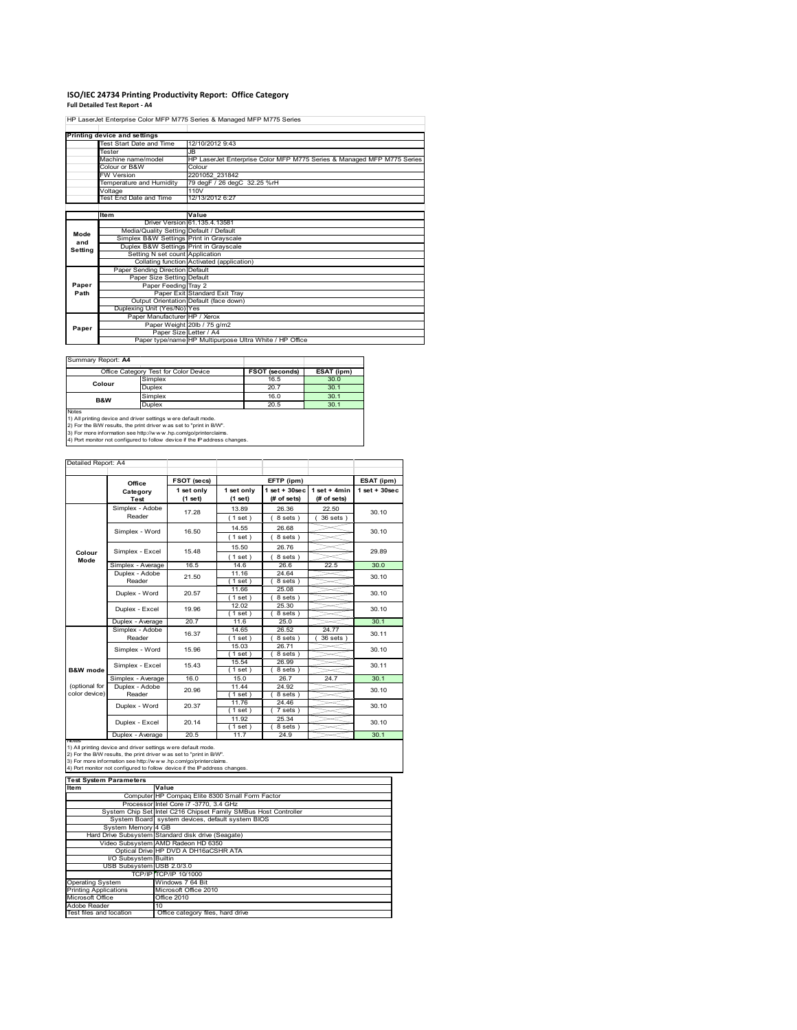### **ISO/IEC 24734 Printing Productivity Report: Office Category Full Detailed Test Report ‐ A4**

HP LaserJet Enterprise Color MFP M775 Series & Managed MFP M775 Series

|         | Printing device and settings            |                                                                        |
|---------|-----------------------------------------|------------------------------------------------------------------------|
|         | Test Start Date and Time                | 12/10/2012 9:43                                                        |
|         | Tester                                  | JB.                                                                    |
|         | Machine name/model                      | HP LaserJet Enterprise Color MFP M775 Series & Managed MFP M775 Series |
|         | Colour or B&W                           | Colour                                                                 |
|         | <b>FW Version</b>                       | 2201052 231842                                                         |
|         | Temperature and Humidity                | 79 degF / 26 degC 32.25 %rH                                            |
|         | Voltage                                 | 110V                                                                   |
|         | Test End Date and Time                  | 12/13/2012 6:27                                                        |
|         |                                         |                                                                        |
|         | Item                                    | Value                                                                  |
|         |                                         | Driver Version 61.135.4.13581                                          |
| Mode    | Media/Quality Setting Default / Default |                                                                        |
| and     | Simplex B&W Settings Print in Grayscale |                                                                        |
| Setting | Duplex B&W Settings Print in Grayscale  |                                                                        |
|         | Setting N set count Application         |                                                                        |
|         |                                         | Collating function Activated (application)                             |
|         | Paper Sending Direction Default         |                                                                        |
|         | Paper Size Setting Default              |                                                                        |
| Paper   | Paper Feeding Tray 2                    |                                                                        |
| Path    |                                         | Paper Exit Standard Exit Tray                                          |
|         |                                         | Output Orientation Default (face down)                                 |
|         | Duplexing Unit (Yes/No) Yes             |                                                                        |
|         | Paper Manufacturer HP / Xerox           |                                                                        |
| Paper   |                                         | Paper Weight 20lb / 75 g/m2                                            |
|         |                                         | Paper Size Letter / A4                                                 |
|         |                                         | Paper type/name HP Multipurpose Ultra White / HP Office                |

ä,

I

Summary Report: **A4**

|                | Office Category Test for Color Device | FSOT (seconds) | ESAT (ipm) |
|----------------|---------------------------------------|----------------|------------|
| Colour         | Simplex                               | 16.5           | 30.0       |
|                | Duplex                                | 20.7           | 30.1       |
| <b>B&amp;W</b> | Simplex                               | 16.0           | 30.1       |
|                | Duplex                                | 20.5           | 30.1       |

2) For the B/W results, the print driver w as set to "print in B/W".<br>3) For more information see http://w w w.hp.com/go/printerclaims.<br>4) Port monitor not configured to follow device if the IP address changes.

| Detailed Report: A4            |                           |                       |                       |                                   |                               |                    |
|--------------------------------|---------------------------|-----------------------|-----------------------|-----------------------------------|-------------------------------|--------------------|
|                                | Office                    | FSOT (secs)           |                       | EFTP (ipm)                        |                               | ESAT (ipm)         |
|                                | Category<br><b>Test</b>   | 1 set only<br>(1 set) | 1 set only<br>(1 set) | $1$ set + $30$ sec<br>(# of sets) | $1$ set + 4min<br>(# of sets) | $1$ set + $30$ sec |
|                                | Simplex - Adobe<br>Reader | 17.28                 | 13.89                 | 26.36                             | 22.50<br>36 sets )            | 30.10              |
|                                | Simplex - Word            | 16.50                 | (1 set)<br>14.55      | 8 sets)<br>26.68                  |                               | 30.10              |
|                                |                           |                       | (1 set)<br>15.50      | 8 sets)<br>26.76                  |                               |                    |
| Colour<br>Mode                 | Simplex - Excel           | 15.48                 | (1 set)               | 8 sets)                           |                               | 29.89              |
|                                | Simplex - Average         | 16.5                  | 14.6                  | 26.6                              | 22.5                          | 30.0               |
|                                | Duplex - Adobe<br>Reader  | 21.50                 | 11.16<br>$1$ set)     | 24.64<br>8 sets)                  |                               | 30.10              |
|                                | Duplex - Word             | 20.57                 | 11.66<br>$1$ set)     | 25.08<br>8 sets)                  |                               | 30.10              |
|                                | Duplex - Excel            | 19.96                 | 12.02<br>$1$ set)     | 25.30<br>8 sets)                  |                               | 30.10              |
|                                | Duplex - Average          | 20.7                  | 11.6                  | 25.0                              |                               | 30.1               |
|                                | Simplex - Adobe<br>Reader | 16.37                 | 14.65<br>(1 set)      | 26.52<br>8 sets)                  | 24.77<br>36 sets )            | 30.11              |
|                                | Simplex - Word            | 15.96                 | 15.03<br>$1$ set)     | 26.71<br>8 sets)                  |                               | 30.10              |
| <b>B&amp;W</b> mode            | Simplex - Excel           | 15.43                 | 15.54<br>$1$ set)     | 26.99<br>8 sets)                  |                               | 30.11              |
|                                | Simplex - Average         | 16.0                  | 15.0                  | 26.7                              | 24.7                          | 30.1               |
| (optional for<br>color device) | Duplex - Adobe<br>Reader  | 20.96                 | 11.44<br>$1$ set)     | 24.92<br>8 sets)                  |                               | 30.10              |
|                                | Duplex - Word             | 20.37                 | 11.76<br>$1$ set)     | 24.46<br>7 sets)                  |                               | 30.10              |
|                                | Duplex - Excel            | 20.14                 | 11.92<br>$1$ set)     | 25.34<br>8 sets)                  |                               | 30.10              |
|                                | Duplex - Average          | 20.5                  | 11.7                  | 24.9                              |                               | 30.1               |

notes<br>1) All printing device and driver settings were default mode.<br>2) For the B/W results, the print driver was set to "print in B/W".<br>3) For more information see http://www.hp.com/go/printerclaims.<br>4) Por more informatio

**Item**<br>
Computer HP Compaq Elite 8300 Small Form Factor Processor Intel Core i7 -3770, 3.4 GHz<br>System Chip Set Intel C216 Chipset Family SMBus Host Controller<br>System Board system devices, default system BIOS<br>System Memory 4 GB Hard Drive Subsystem Standard disk drive (Seagate) Video Subsystem AMD Radeon HD 6350 Optical Drive HP DVD A DH16aCSHR ATA I/O Subsystem Builtin USB Subsystem USB 2.0/3.0 TCP/IP TCP/IP 10/10 Operating System Windows 7 64 Bit Printing Applications Microsoft Office 2010 Inting Applications<br>crosoft Office Adobe Reader 10 Office category files, hard dr **Test System Parameters**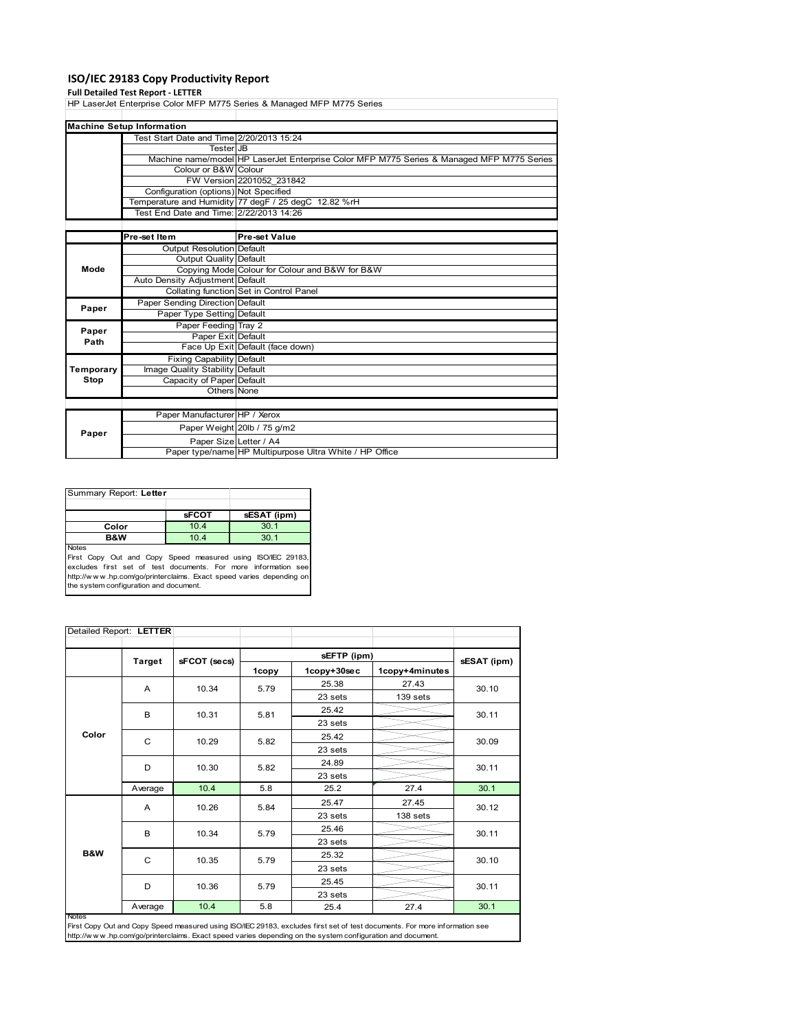## **ISO/IEC 29183 Copy Productivity Report**

|             | <b>Full Detailed Test Report - LETTER</b> |                                                                                           |  |  |
|-------------|-------------------------------------------|-------------------------------------------------------------------------------------------|--|--|
|             |                                           | HP LaserJet Enterprise Color MFP M775 Series & Managed MFP M775 Series                    |  |  |
|             |                                           |                                                                                           |  |  |
|             | <b>Machine Setup Information</b>          |                                                                                           |  |  |
|             | Test Start Date and Time 2/20/2013 15:24  |                                                                                           |  |  |
|             | Tester JB                                 |                                                                                           |  |  |
|             |                                           | Machine name/model HP LaserJet Enterprise Color MFP M775 Series & Managed MFP M775 Series |  |  |
|             | Colour or B&W Colour                      |                                                                                           |  |  |
|             |                                           | FW Version 2201052 231842                                                                 |  |  |
|             | Configuration (options) Not Specified     |                                                                                           |  |  |
|             |                                           | Temperature and Humidity 77 degF / 25 degC 12.82 %rH                                      |  |  |
|             | Test End Date and Time: 2/22/2013 14:26   |                                                                                           |  |  |
|             |                                           |                                                                                           |  |  |
|             | Pre-set Item                              | <b>Pre-set Value</b>                                                                      |  |  |
|             | Output Resolution Default                 |                                                                                           |  |  |
| Mode        | Output Quality Default                    |                                                                                           |  |  |
|             |                                           | Copying Mode Colour for Colour and B&W for B&W                                            |  |  |
|             | Auto Density Adjustment Default           |                                                                                           |  |  |
|             |                                           | Collating function Set in Control Panel                                                   |  |  |
| Paper       | Paper Sending Direction Default           |                                                                                           |  |  |
|             | Paper Type Setting Default                |                                                                                           |  |  |
| Paper       | Paper Feeding Tray 2                      |                                                                                           |  |  |
| Path        | Paper Exit Default                        |                                                                                           |  |  |
|             |                                           | Face Up Exit Default (face down)                                                          |  |  |
|             | <b>Fixing Capability Default</b>          |                                                                                           |  |  |
| Temporary   | Image Quality Stability Default           |                                                                                           |  |  |
| <b>Stop</b> | Capacity of Paper Default                 |                                                                                           |  |  |
|             | Others None                               |                                                                                           |  |  |
|             |                                           |                                                                                           |  |  |
|             | Paper Manufacturer HP / Xerox             |                                                                                           |  |  |
| Paper       |                                           | Paper Weight 20lb / 75 g/m2                                                               |  |  |
|             | Paper Size Letter / A4                    |                                                                                           |  |  |
|             |                                           | Paper type/name HP Multipurpose Ultra White / HP Office                                   |  |  |

| Summary Report: Letter                                                      |              |             |  |
|-----------------------------------------------------------------------------|--------------|-------------|--|
|                                                                             |              |             |  |
|                                                                             | <b>sFCOT</b> | sESAT (ipm) |  |
| Color                                                                       | 10.4         | 30.1        |  |
| <b>B&amp;W</b>                                                              | 10.4         | 30.1        |  |
| <b>Notes</b><br>First Copy Out and Copy Speed measured using ISO/IEC 29183, |              |             |  |

First Copy Out and Copy Speed measured using ISO/IEC 29183,<br>excludes first set of test documents. For more information see<br>http://www.hp.com/go/printerclaims. Exact speed varies depending on<br>the system.configuration and do

|              | Detailed Report: LETTER |              |       |             |                |             |
|--------------|-------------------------|--------------|-------|-------------|----------------|-------------|
|              | <b>Target</b>           | sFCOT (secs) |       | sEFTP (ipm) |                | sESAT (ipm) |
|              |                         |              | 1copy | 1copy+30sec | 1copy+4minutes |             |
|              | A                       | 10.34        | 5.79  | 25.38       | 27.43          | 30.10       |
|              |                         |              |       | 23 sets     | 139 sets       |             |
|              | B                       | 10.31        | 5.81  | 25.42       |                | 30.11       |
|              |                         |              |       | 23 sets     |                |             |
| Color        | C                       | 10.29        | 5.82  | 25.42       |                | 30.09       |
|              |                         |              |       | 23 sets     |                |             |
|              | D                       | 10.30        | 5.82  | 24.89       |                | 30.11       |
|              |                         |              |       | 23 sets     |                |             |
|              | Average                 | 10.4         | 5.8   | 25.2        | 27.4           | 30.1        |
|              |                         | 10.26<br>A   | 5.84  | 25.47       | 27.45          | 30.12       |
|              |                         |              |       | 23 sets     | 138 sets       |             |
|              | B                       | 10.34        | 5.79  | 25.46       |                | 30.11       |
|              |                         |              |       | 23 sets     |                |             |
| B&W          | C                       | 10.35        | 5.79  | 25.32       |                | 30.10       |
|              |                         |              |       | 23 sets     |                |             |
|              | D                       | 10.36        | 5.79  | 25.45       |                | 30.11       |
|              |                         |              |       | 23 sets     |                |             |
| <b>Notes</b> | Average                 | 10.4         | 5.8   | 25.4        | 27.4           | 30.1        |

First Copy Out and Copy Speed measured using ISO/IEC 29183, excludes first set of test documents. For more information see<br>http://w w w .hp.com/go/printerclaims. Exact speed varies depending on the system configuration and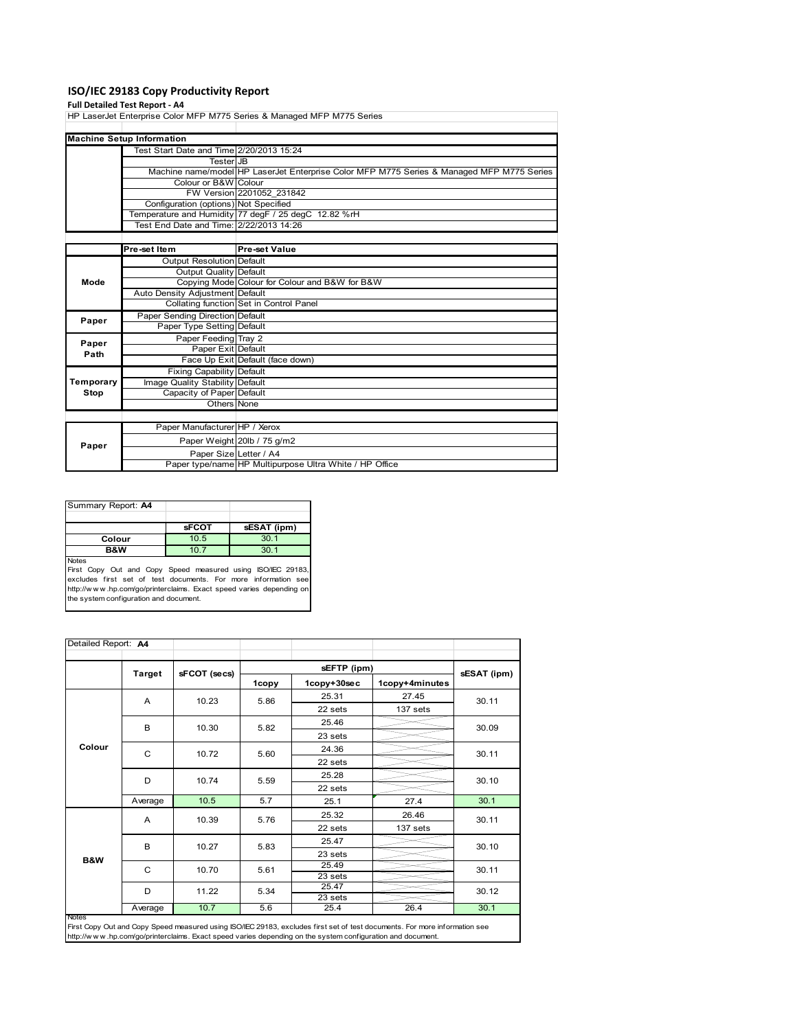## **ISO/IEC 29183 Copy Productivity Report**

### **Full Detailed Test Report ‐ A4**

HP LaserJet Enterprise Color MFP M775 Series & Managed MFP M775 Series

|           | <b>Machine Setup Information</b>         |                                                                                           |
|-----------|------------------------------------------|-------------------------------------------------------------------------------------------|
|           | Test Start Date and Time 2/20/2013 15:24 |                                                                                           |
|           | <b>Tester</b> JB                         |                                                                                           |
|           |                                          | Machine name/model HP LaserJet Enterprise Color MFP M775 Series & Managed MFP M775 Series |
|           | Colour or B&W Colour                     |                                                                                           |
|           |                                          | FW Version 2201052 231842                                                                 |
|           | Configuration (options) Not Specified    |                                                                                           |
|           |                                          | Temperature and Humidity 77 degF / 25 degC 12.82 %rH                                      |
|           | Test End Date and Time: 2/22/2013 14:26  |                                                                                           |
|           |                                          |                                                                                           |
|           | Pre-set Item                             | <b>Pre-set Value</b>                                                                      |
|           | Output Resolution Default                |                                                                                           |
|           | <b>Output Quality Default</b>            |                                                                                           |
| Mode      |                                          | Copying Mode Colour for Colour and B&W for B&W                                            |
|           | Auto Density Adjustment Default          |                                                                                           |
|           |                                          | Collating function Set in Control Panel                                                   |
| Paper     | Paper Sending Direction Default          |                                                                                           |
|           | Paper Type Setting Default               |                                                                                           |
| Paper     | Paper Feeding Tray 2                     |                                                                                           |
| Path      | Paper Exit Default                       |                                                                                           |
|           |                                          | Face Up Exit Default (face down)                                                          |
|           | <b>Fixing Capability Default</b>         |                                                                                           |
| Temporary | Image Quality Stability Default          |                                                                                           |
| Stop      | Capacity of Paper Default                |                                                                                           |
|           | Others None                              |                                                                                           |
|           |                                          |                                                                                           |
|           | Paper Manufacturer HP / Xerox            |                                                                                           |
|           |                                          | Paper Weight 20lb / 75 g/m2                                                               |
| Paper     |                                          |                                                                                           |

| Summary Report: A4 |              |             |
|--------------------|--------------|-------------|
|                    |              |             |
|                    | <b>SFCOT</b> | sESAT (ipm) |
| Colour             | 10.5         | 30.1        |
| <b>B&amp;W</b>     | 10.7         | 30.1        |
| <b>Notes</b>       |              |             |

Paper Size Letter / A4

Paper type/name HP Multipurpose Ultra White / HP Office

Notes<br>First Copy Out and Copy Speed measured using ISO/IEC 29183,<br>excludes first set of test documents. For more information see<br>http://www.hp.com/go/printerclaims. Exact speed varies depending on<br>the system.configuration

| Detailed Report: A4 |               |                |              |                               |                |                |
|---------------------|---------------|----------------|--------------|-------------------------------|----------------|----------------|
|                     |               |                |              |                               |                |                |
|                     | <b>Target</b> | sFCOT (secs)   | 1copy        | sEFTP (ipm)<br>1copy+30sec    | 1copy+4minutes | sESAT (ipm)    |
|                     | A             | 10.23          | 5.86         | 25.31                         | 27.45          | 30.11          |
|                     |               |                |              | 22 sets                       | 137 sets       |                |
|                     | B             | 10.30          | 5.82         | 25.46                         |                | 30.09          |
|                     |               |                |              | 23 sets                       |                |                |
| Colour              | C             | 10.72          | 5.60         | 24.36                         |                | 30.11          |
|                     |               |                |              | 22 sets                       |                |                |
|                     | D             | 10.74          | 5.59         | 25.28                         |                | 30.10          |
|                     |               |                |              | 22 sets                       |                |                |
|                     | Average       | 10.5           | 5.7          | 25.1                          | 27.4           | 30.1           |
| <b>B&amp;W</b>      | A             | 10.39          | 5.76         | 25.32                         | 26.46          | 30.11          |
|                     |               |                |              | 22 sets                       | 137 sets       |                |
|                     | B             | 10.27          | 5.83         | 25.47                         |                | 30.10          |
|                     |               |                |              | 23 sets                       |                |                |
|                     | C<br>D        | 10.70<br>11.22 | 5.61<br>5.34 | 25.49                         |                | 30.11<br>30.12 |
|                     |               |                |              | 23 sets                       |                |                |
|                     |               |                |              | $25.\overline{47}$<br>23 sets |                |                |
|                     | Average       | 10.7           | 5.6          | 25.4                          | 26.4           | 30.1           |
| Notes               |               |                |              |                               |                |                |

First Copy Out and Copy Speed measured using ISO/IEC 29183, excludes first set of test documents. For more information see http://w w w .hp.com/go/printerclaims. Exact speed varies depending on the system configuration and document.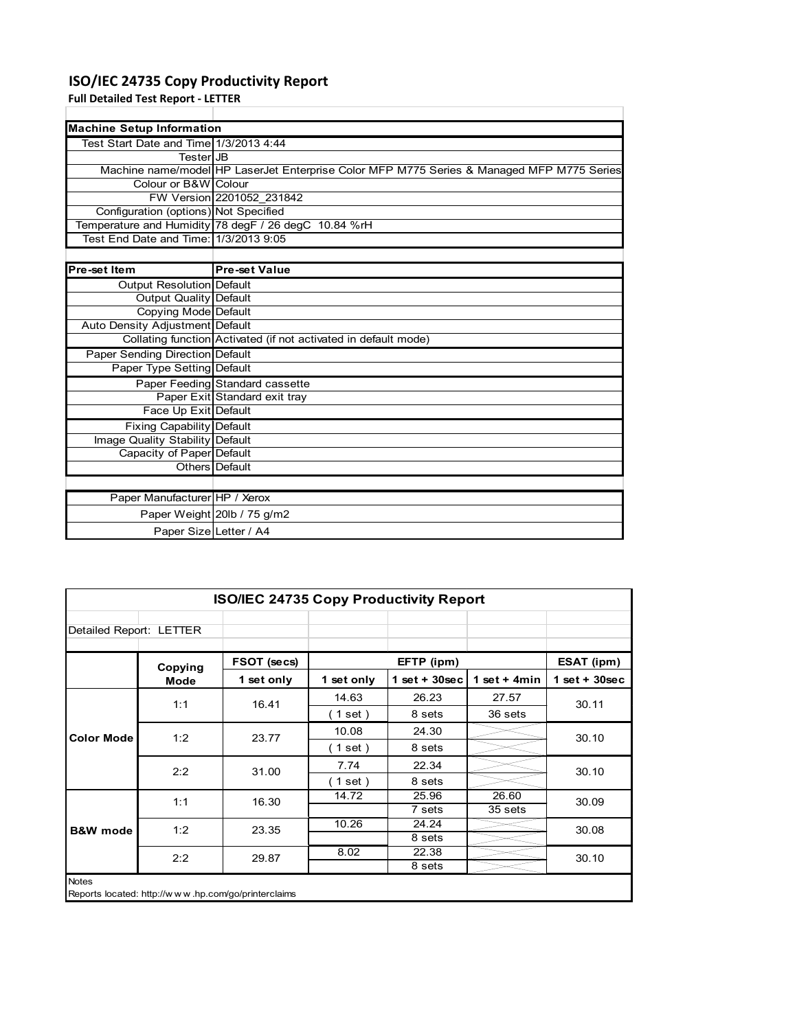# **ISO/IEC 24735 Copy Productivity Report**

**Full Detailed Test Report ‐ LETTER**

| <b>Machine Setup Information</b>       |                                                                                           |  |  |  |
|----------------------------------------|-------------------------------------------------------------------------------------------|--|--|--|
| Test Start Date and Time 1/3/2013 4:44 |                                                                                           |  |  |  |
| TesterlJB                              |                                                                                           |  |  |  |
|                                        | Machine name/model HP LaserJet Enterprise Color MFP M775 Series & Managed MFP M775 Series |  |  |  |
| Colour or B&W Colour                   |                                                                                           |  |  |  |
|                                        | FW Version 2201052 231842                                                                 |  |  |  |
| Configuration (options) Not Specified  |                                                                                           |  |  |  |
|                                        | Temperature and Humidity 78 degF / 26 degC 10.84 %rH                                      |  |  |  |
| Test End Date and Time: 1/3/2013 9:05  |                                                                                           |  |  |  |
|                                        |                                                                                           |  |  |  |

| <b>Pre-set Item</b>              | <b>Pre-set Value</b>                                            |
|----------------------------------|-----------------------------------------------------------------|
| <b>Output Resolution Default</b> |                                                                 |
| Output Quality Default           |                                                                 |
| Copying Mode Default             |                                                                 |
| Auto Density Adjustment Default  |                                                                 |
|                                  | Collating function Activated (if not activated in default mode) |
| Paper Sending Direction Default  |                                                                 |
| Paper Type Setting Default       |                                                                 |
|                                  | Paper Feeding Standard cassette                                 |
|                                  | Paper Exit Standard exit tray                                   |
| Face Up Exit Default             |                                                                 |
| <b>Fixing Capability Default</b> |                                                                 |
| Image Quality Stability Default  |                                                                 |
| Capacity of Paper Default        |                                                                 |
|                                  | Others Default                                                  |
|                                  |                                                                 |
| Paper Manufacturer HP / Xerox    |                                                                 |
|                                  | Paper Weight 20lb / 75 g/m2                                     |
|                                  | Paper Size Letter / A4                                          |

| <b>ISO/IEC 24735 Copy Productivity Report</b> |                                                     |             |            |                  |                |                 |
|-----------------------------------------------|-----------------------------------------------------|-------------|------------|------------------|----------------|-----------------|
| Detailed Report: LETTER                       |                                                     |             |            |                  |                |                 |
|                                               | Copying                                             | FSOT (secs) | EFTP (ipm) |                  |                | ESAT (ipm)      |
|                                               | Mode                                                | 1 set only  | 1 set only | 1 set + $30$ sec | 1 set + $4min$ | $1$ set + 30sec |
|                                               | 1:1                                                 | 16.41       | 14.63      | 26.23            | 27.57          | 30.11           |
| <b>Color Mode</b>                             |                                                     |             | (1 set)    | 8 sets           | 36 sets        |                 |
|                                               | 1:2                                                 | 23.77       | 10.08      | 24.30            |                | 30.10           |
|                                               |                                                     |             | (1 set)    | 8 sets           |                |                 |
|                                               | 2:2                                                 | 31.00       | 7.74       | 22.34            |                | 30.10           |
|                                               |                                                     |             | (1 set)    | 8 sets           |                |                 |
|                                               | 1:1                                                 | 16.30       | 14.72      | 25.96            | 26.60          | 30.09           |
| <b>B&amp;W</b> mode                           |                                                     |             |            | 7 sets           | 35 sets        |                 |
|                                               | 1:2                                                 | 23.35       | 10.26      | 24.24            |                | 30.08           |
|                                               |                                                     |             |            | 8 sets           |                |                 |
|                                               | 2:2                                                 | 29.87       | 8.02       | 22.38            |                | 30.10           |
|                                               |                                                     |             |            | 8 sets           |                |                 |
| <b>Notes</b>                                  | Reports located: http://www.hp.com/go/printerclaims |             |            |                  |                |                 |